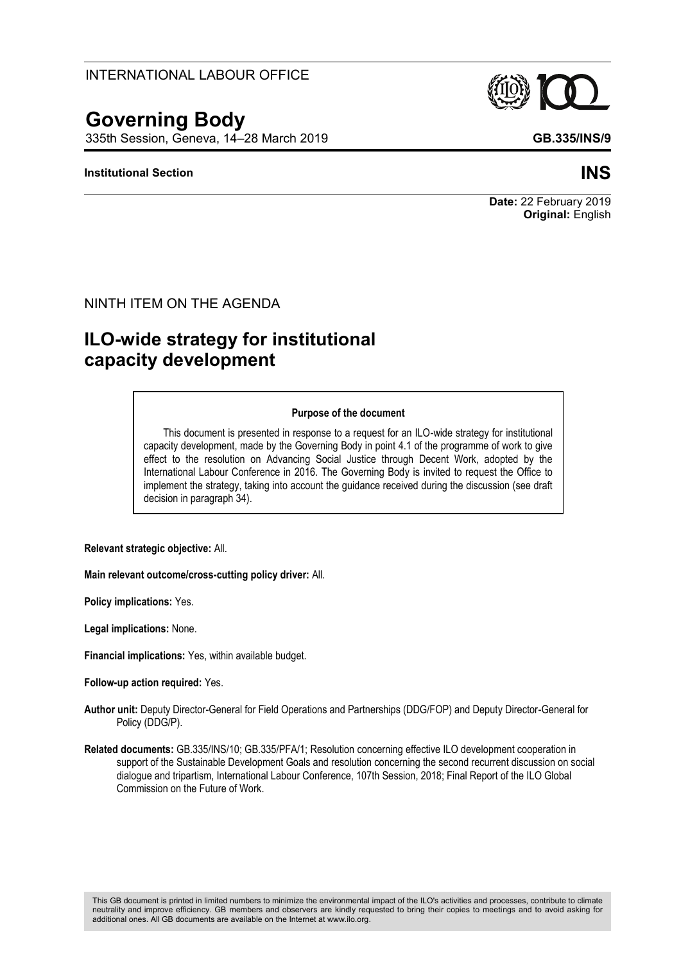# INTERNATIONAL LABOUR OFFICE

# **Governing Body**

335th Session, Geneva, 14–28 March 2019 **GB.335/INS/9**

#### **Institutional Section INS**

#### NINTH ITEM ON THE AGENDA

# **ILO-wide strategy for institutional capacity development**

#### **Purpose of the document**

This document is presented in response to a request for an ILO-wide strategy for institutional capacity development, made by the Governing Body in point 4.1 of the programme of work to give effect to the resolution on Advancing Social Justice through Decent Work, adopted by the International Labour Conference in 2016. The Governing Body is invited to request the Office to implement the strategy, taking into account the guidance received during the discussion (see draft decision in paragraph 34).

**Relevant strategic objective:** All.

**Main relevant outcome/cross-cutting policy driver:** All.

**Policy implications:** Yes.

**Legal implications:** None.

**Financial implications:** Yes, within available budget.

**Follow-up action required:** Yes.

- **Author unit:** Deputy Director-General for Field Operations and Partnerships (DDG/FOP) and Deputy Director-General for Policy (DDG/P).
- **Related documents:** GB.335/INS/10; GB.335/PFA/1; Resolution concerning effective ILO development cooperation in support of the Sustainable Development Goals and resolution concerning the second recurrent discussion on social dialogue and tripartism, International Labour Conference, 107th Session, 2018; Final Report of the ILO Global Commission on the Future of Work.

**Original:** English

**Date:** 22 February 2019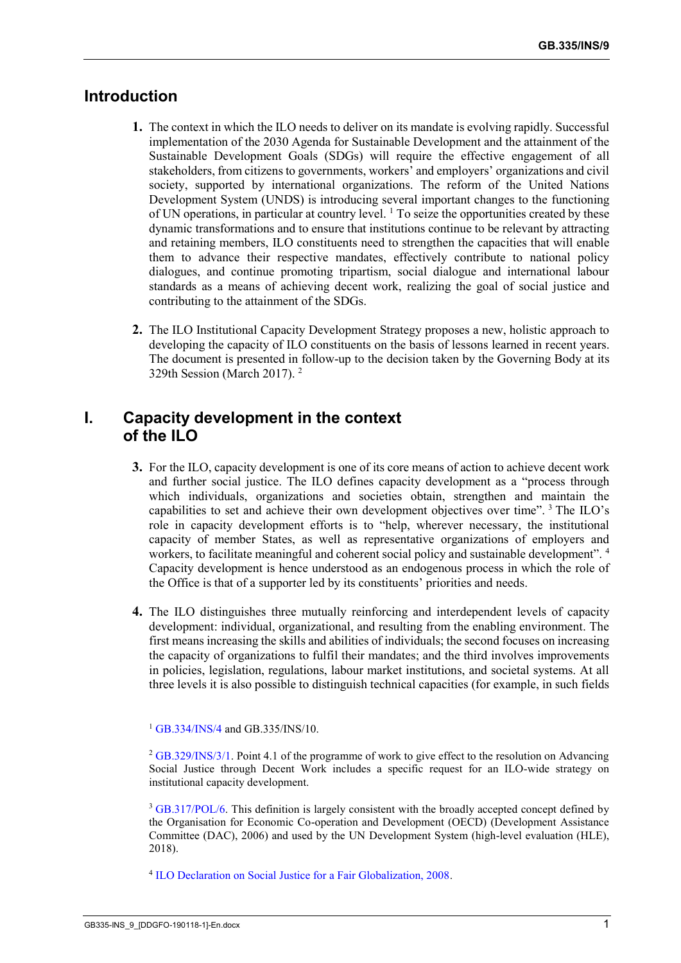# **Introduction**

- **1.** The context in which the ILO needs to deliver on its mandate is evolving rapidly. Successful implementation of the 2030 Agenda for Sustainable Development and the attainment of the Sustainable Development Goals (SDGs) will require the effective engagement of all stakeholders, from citizens to governments, workers' and employers' organizations and civil society, supported by international organizations. The reform of the United Nations Development System (UNDS) is introducing several important changes to the functioning of UN operations, in particular at country level.  $\frac{1}{1}$  To seize the opportunities created by these dynamic transformations and to ensure that institutions continue to be relevant by attracting and retaining members, ILO constituents need to strengthen the capacities that will enable them to advance their respective mandates, effectively contribute to national policy dialogues, and continue promoting tripartism, social dialogue and international labour standards as a means of achieving decent work, realizing the goal of social justice and contributing to the attainment of the SDGs.
- **2.** The ILO Institutional Capacity Development Strategy proposes a new, holistic approach to developing the capacity of ILO constituents on the basis of lessons learned in recent years. The document is presented in follow-up to the decision taken by the Governing Body at its 329th Session (March 2017). <sup>2</sup>

# **I. Capacity development in the context of the ILO**

- **3.** For the ILO, capacity development is one of its core means of action to achieve decent work and further social justice. The ILO defines capacity development as a "process through which individuals, organizations and societies obtain, strengthen and maintain the capabilities to set and achieve their own development objectives over time". <sup>3</sup> The ILO's role in capacity development efforts is to "help, wherever necessary, the institutional capacity of member States, as well as representative organizations of employers and workers, to facilitate meaningful and coherent social policy and sustainable development". <sup>4</sup> Capacity development is hence understood as an endogenous process in which the role of the Office is that of a supporter led by its constituents' priorities and needs.
- **4.** The ILO distinguishes three mutually reinforcing and interdependent levels of capacity development: individual, organizational, and resulting from the enabling environment. The first means increasing the skills and abilities of individuals; the second focuses on increasing the capacity of organizations to fulfil their mandates; and the third involves improvements in policies, legislation, regulations, labour market institutions, and societal systems. At all three levels it is also possible to distinguish technical capacities (for example, in such fields

<sup>1</sup> [GB.334/INS/4](https://www.ilo.org/wcmsp5/groups/public/---ed_norm/---relconf/documents/meetingdocument/wcms_646324.pdf) and GB.335/INS/10.

<sup>2</sup> [GB.329/INS/3/1.](https://www.ilo.org/wcmsp5/groups/public/---ed_norm/---relconf/documents/meetingdocument/wcms_545423.pdf) Point 4.1 of the programme of work to give effect to the resolution on Advancing Social Justice through Decent Work includes a specific request for an ILO-wide strategy on institutional capacity development.

<sup>3</sup> [GB.317/POL/6.](https://www.ilo.org/wcmsp5/groups/public/---ed_norm/---relconf/documents/meetingdocument/wcms_204751.pdf) This definition is largely consistent with the broadly accepted concept defined by the Organisation for Economic Co-operation and Development (OECD) (Development Assistance Committee (DAC), 2006) and used by the UN Development System (high-level evaluation (HLE), 2018).

4 [ILO Declaration on Social Justice for a Fair Globalization, 2008.](https://www.ilo.org/wcmsp5/groups/public/---dgreports/---cabinet/documents/genericdocument/wcms_371208.pdf)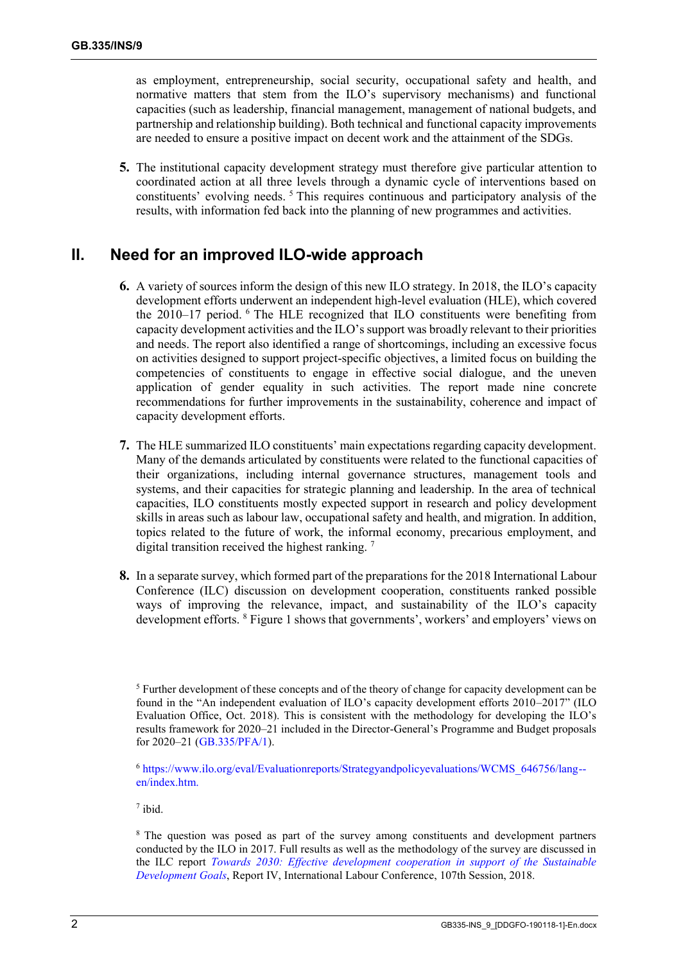as employment, entrepreneurship, social security, occupational safety and health, and normative matters that stem from the ILO's supervisory mechanisms) and functional capacities (such as leadership, financial management, management of national budgets, and partnership and relationship building). Both technical and functional capacity improvements are needed to ensure a positive impact on decent work and the attainment of the SDGs.

**5.** The institutional capacity development strategy must therefore give particular attention to coordinated action at all three levels through a dynamic cycle of interventions based on constituents' evolving needs. <sup>5</sup> This requires continuous and participatory analysis of the results, with information fed back into the planning of new programmes and activities.

# **II. Need for an improved ILO-wide approach**

- **6.** A variety of sources inform the design of this new ILO strategy. In 2018, the ILO's capacity development efforts underwent an independent high-level evaluation (HLE), which covered the 2010–17 period. <sup>6</sup> The HLE recognized that ILO constituents were benefiting from capacity development activities and the ILO's support was broadly relevant to their priorities and needs. The report also identified a range of shortcomings, including an excessive focus on activities designed to support project-specific objectives, a limited focus on building the competencies of constituents to engage in effective social dialogue, and the uneven application of gender equality in such activities. The report made nine concrete recommendations for further improvements in the sustainability, coherence and impact of capacity development efforts.
- **7.** The HLE summarized ILO constituents' main expectations regarding capacity development. Many of the demands articulated by constituents were related to the functional capacities of their organizations, including internal governance structures, management tools and systems, and their capacities for strategic planning and leadership. In the area of technical capacities, ILO constituents mostly expected support in research and policy development skills in areas such as labour law, occupational safety and health, and migration. In addition, topics related to the future of work, the informal economy, precarious employment, and digital transition received the highest ranking.<sup>7</sup>
- **8.** In a separate survey, which formed part of the preparations for the 2018 International Labour Conference (ILC) discussion on development cooperation, constituents ranked possible ways of improving the relevance, impact, and sustainability of the ILO's capacity development efforts. <sup>8</sup> Figure 1 shows that governments', workers' and employers' views on

<sup>6</sup> [https://www.ilo.org/eval/Evaluationreports/Strategyandpolicyevaluations/WCMS\\_646756/lang-](https://www.ilo.org/eval/Evaluationreports/Strategyandpolicyevaluations/WCMS_646756/lang--en/index.htm) [en/index.htm.](https://www.ilo.org/eval/Evaluationreports/Strategyandpolicyevaluations/WCMS_646756/lang--en/index.htm)

7 ibid.

<sup>8</sup> The question was posed as part of the survey among constituents and development partners conducted by the ILO in 2017. Full results as well as the methodology of the survey are discussed in the ILC report *[Towards 2030: Effective development cooperation in support of the Sustainable](https://www.ilo.org/wcmsp5/groups/public/---ed_norm/---relconf/documents/meetingdocument/wcms_624037.pdf)  [Development Goals](https://www.ilo.org/wcmsp5/groups/public/---ed_norm/---relconf/documents/meetingdocument/wcms_624037.pdf)*, Report IV, International Labour Conference, 107th Session, 2018.

<sup>&</sup>lt;sup>5</sup> Further development of these concepts and of the theory of change for capacity development can be found in the "An independent evaluation of ILO's capacity development efforts 2010–2017" (ILO Evaluation Office, Oct. 2018). This is consistent with the methodology for developing the ILO's results framework for 2020–21 included in the Director-General's Programme and Budget proposals for 2020–21 [\(GB.335/PFA/1\)](https://www.ilo.org/wcmsp5/groups/public/---ed_norm/---relconf/documents/meetingdocument/wcms_668573.pdf).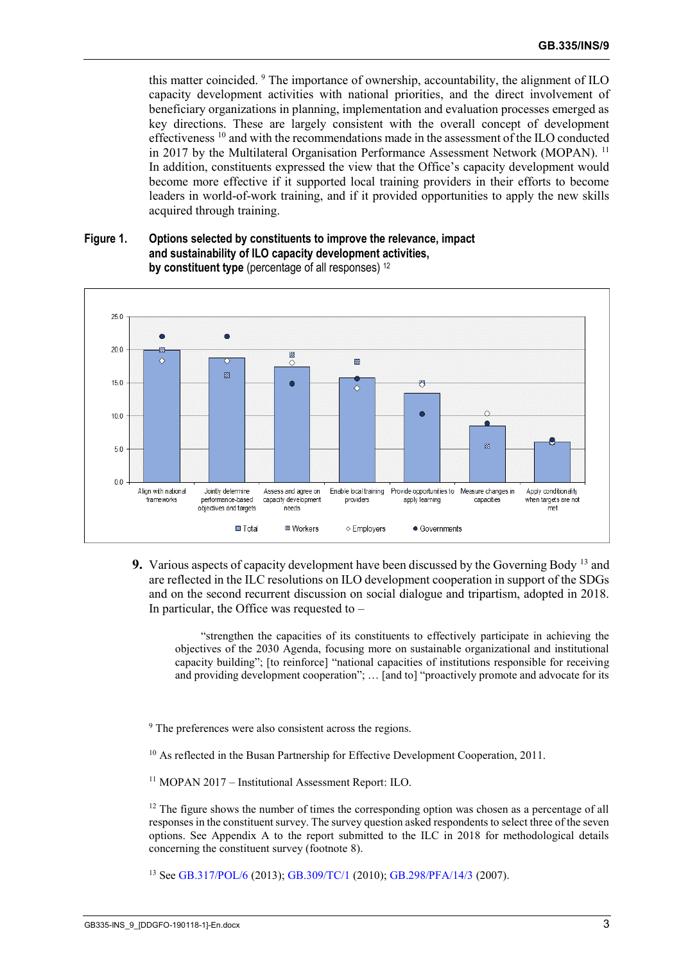this matter coincided. <sup>9</sup> The importance of ownership, accountability, the alignment of ILO capacity development activities with national priorities, and the direct involvement of beneficiary organizations in planning, implementation and evaluation processes emerged as key directions. These are largely consistent with the overall concept of development effectiveness <sup>10</sup> and with the recommendations made in the assessment of the ILO conducted in 2017 by the Multilateral Organisation Performance Assessment Network (MOPAN). <sup>11</sup> In addition, constituents expressed the view that the Office's capacity development would become more effective if it supported local training providers in their efforts to become leaders in world-of-work training, and if it provided opportunities to apply the new skills acquired through training.

#### **Figure 1. Options selected by constituents to improve the relevance, impact and sustainability of ILO capacity development activities, by constituent type** (percentage of all responses) <sup>12</sup>



**9.** Various aspects of capacity development have been discussed by the Governing Body <sup>13</sup> and are reflected in the ILC resolutions on ILO development cooperation in support of the SDGs and on the second recurrent discussion on social dialogue and tripartism, adopted in 2018. In particular, the Office was requested to  $-$ 

"strengthen the capacities of its constituents to effectively participate in achieving the objectives of the 2030 Agenda, focusing more on sustainable organizational and institutional capacity building"; [to reinforce] "national capacities of institutions responsible for receiving and providing development cooperation"; … [and to] "proactively promote and advocate for its

<sup>9</sup> The preferences were also consistent across the regions.

<sup>10</sup> As reflected in the Busan Partnership for Effective Development Cooperation, 2011.

<sup>11</sup> MOPAN 2017 – Institutional Assessment Report: ILO.

 $12$  The figure shows the number of times the corresponding option was chosen as a percentage of all responses in the constituent survey. The survey question asked respondents to select three of the seven options. See Appendix A to the report submitted to the ILC in 2018 for methodological details concerning the constituent survey (footnote 8).

<sup>13</sup> See [GB.317/POL/6](https://www.ilo.org/wcmsp5/groups/public/---ed_norm/---relconf/documents/meetingdocument/wcms_204751.pdf) (2013)[; GB.309/TC/1](https://www.ilo.org/wcmsp5/groups/public/---ed_norm/---relconf/documents/meetingdocument/wcms_146298.pdf) (2010); [GB.298/PFA/14/3](https://www.ilo.org/wcmsp5/groups/public/---ed_norm/---relconf/documents/meetingdocument/wcms_gb_298_pfa_14_3_en.pdf) (2007).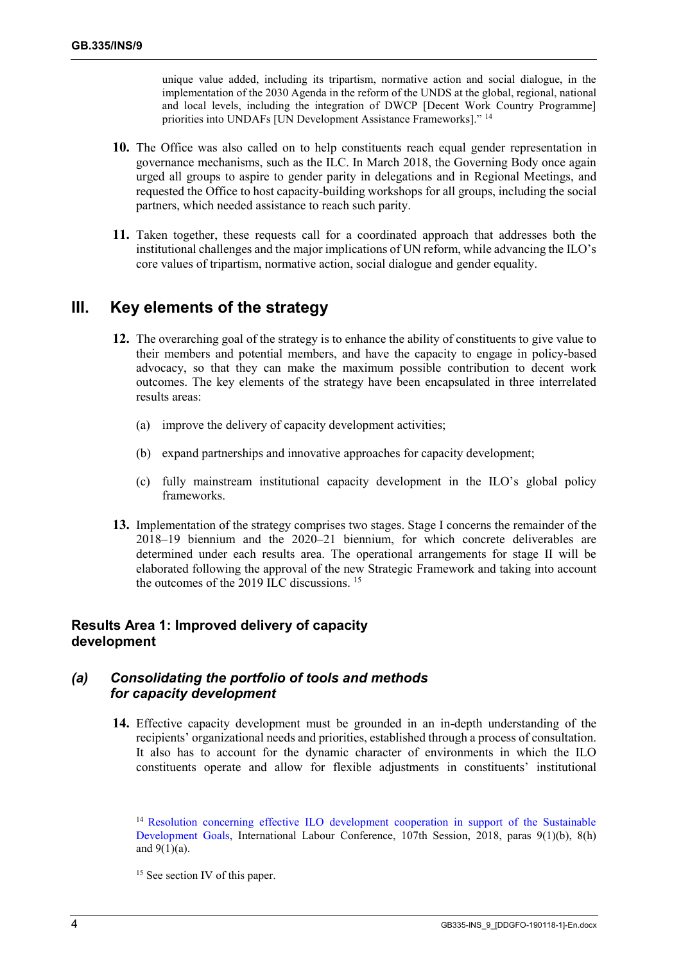unique value added, including its tripartism, normative action and social dialogue, in the implementation of the 2030 Agenda in the reform of the UNDS at the global, regional, national and local levels, including the integration of DWCP [Decent Work Country Programme] priorities into UNDAFs [UN Development Assistance Frameworks]." <sup>14</sup>

- **10.** The Office was also called on to help constituents reach equal gender representation in governance mechanisms, such as the ILC. In March 2018, the Governing Body once again urged all groups to aspire to gender parity in delegations and in Regional Meetings, and requested the Office to host capacity-building workshops for all groups, including the social partners, which needed assistance to reach such parity.
- **11.** Taken together, these requests call for a coordinated approach that addresses both the institutional challenges and the major implications of UN reform, while advancing the ILO's core values of tripartism, normative action, social dialogue and gender equality.

# **III. Key elements of the strategy**

- **12.** The overarching goal of the strategy is to enhance the ability of constituents to give value to their members and potential members, and have the capacity to engage in policy-based advocacy, so that they can make the maximum possible contribution to decent work outcomes. The key elements of the strategy have been encapsulated in three interrelated results areas:
	- (a) improve the delivery of capacity development activities;
	- (b) expand partnerships and innovative approaches for capacity development;
	- (c) fully mainstream institutional capacity development in the ILO's global policy frameworks.
- **13.** Implementation of the strategy comprises two stages. Stage I concerns the remainder of the 2018–19 biennium and the 2020–21 biennium, for which concrete deliverables are determined under each results area. The operational arrangements for stage II will be elaborated following the approval of the new Strategic Framework and taking into account the outcomes of the 2019 ILC discussions.  $15$

# **Results Area 1: Improved delivery of capacity development**

#### *(a) Consolidating the portfolio of tools and methods for capacity development*

**14.** Effective capacity development must be grounded in an in-depth understanding of the recipients' organizational needs and priorities, established through a process of consultation. It also has to account for the dynamic character of environments in which the ILO constituents operate and allow for flexible adjustments in constituents' institutional

<sup>14</sup> [Resolution concerning effective ILO development cooperation in support of the Sustainable](https://www.ilo.org/wcmsp5/groups/public/---ed_norm/---relconf/documents/meetingdocument/wcms_633138.pdf)  [Development Goals,](https://www.ilo.org/wcmsp5/groups/public/---ed_norm/---relconf/documents/meetingdocument/wcms_633138.pdf) International Labour Conference, 107th Session, 2018, paras 9(1)(b), 8(h) and  $9(1)(a)$ .

<sup>15</sup> See section IV of this paper.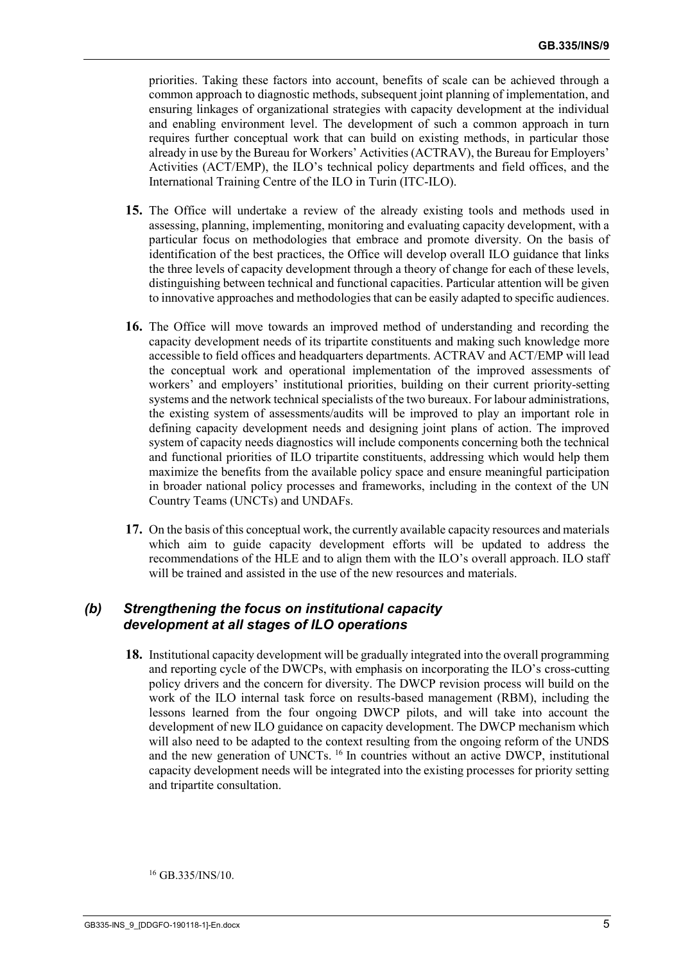priorities. Taking these factors into account, benefits of scale can be achieved through a common approach to diagnostic methods, subsequent joint planning of implementation, and ensuring linkages of organizational strategies with capacity development at the individual and enabling environment level. The development of such a common approach in turn requires further conceptual work that can build on existing methods, in particular those already in use by the Bureau for Workers' Activities (ACTRAV), the Bureau for Employers' Activities (ACT/EMP), the ILO's technical policy departments and field offices, and the International Training Centre of the ILO in Turin (ITC-ILO).

- **15.** The Office will undertake a review of the already existing tools and methods used in assessing, planning, implementing, monitoring and evaluating capacity development, with a particular focus on methodologies that embrace and promote diversity. On the basis of identification of the best practices, the Office will develop overall ILO guidance that links the three levels of capacity development through a theory of change for each of these levels, distinguishing between technical and functional capacities. Particular attention will be given to innovative approaches and methodologies that can be easily adapted to specific audiences.
- **16.** The Office will move towards an improved method of understanding and recording the capacity development needs of its tripartite constituents and making such knowledge more accessible to field offices and headquarters departments. ACTRAV and ACT/EMP will lead the conceptual work and operational implementation of the improved assessments of workers' and employers' institutional priorities, building on their current priority-setting systems and the network technical specialists of the two bureaux. For labour administrations, the existing system of assessments/audits will be improved to play an important role in defining capacity development needs and designing joint plans of action. The improved system of capacity needs diagnostics will include components concerning both the technical and functional priorities of ILO tripartite constituents, addressing which would help them maximize the benefits from the available policy space and ensure meaningful participation in broader national policy processes and frameworks, including in the context of the UN Country Teams (UNCTs) and UNDAFs.
- **17.** On the basis of this conceptual work, the currently available capacity resources and materials which aim to guide capacity development efforts will be updated to address the recommendations of the HLE and to align them with the ILO's overall approach. ILO staff will be trained and assisted in the use of the new resources and materials.

#### *(b) Strengthening the focus on institutional capacity development at all stages of ILO operations*

**18.** Institutional capacity development will be gradually integrated into the overall programming and reporting cycle of the DWCPs, with emphasis on incorporating the ILO's cross-cutting policy drivers and the concern for diversity. The DWCP revision process will build on the work of the ILO internal task force on results-based management (RBM), including the lessons learned from the four ongoing DWCP pilots, and will take into account the development of new ILO guidance on capacity development. The DWCP mechanism which will also need to be adapted to the context resulting from the ongoing reform of the UNDS and the new generation of UNCTs.<sup>16</sup> In countries without an active DWCP, institutional capacity development needs will be integrated into the existing processes for priority setting and tripartite consultation.

<sup>16</sup> GB.335/INS/10.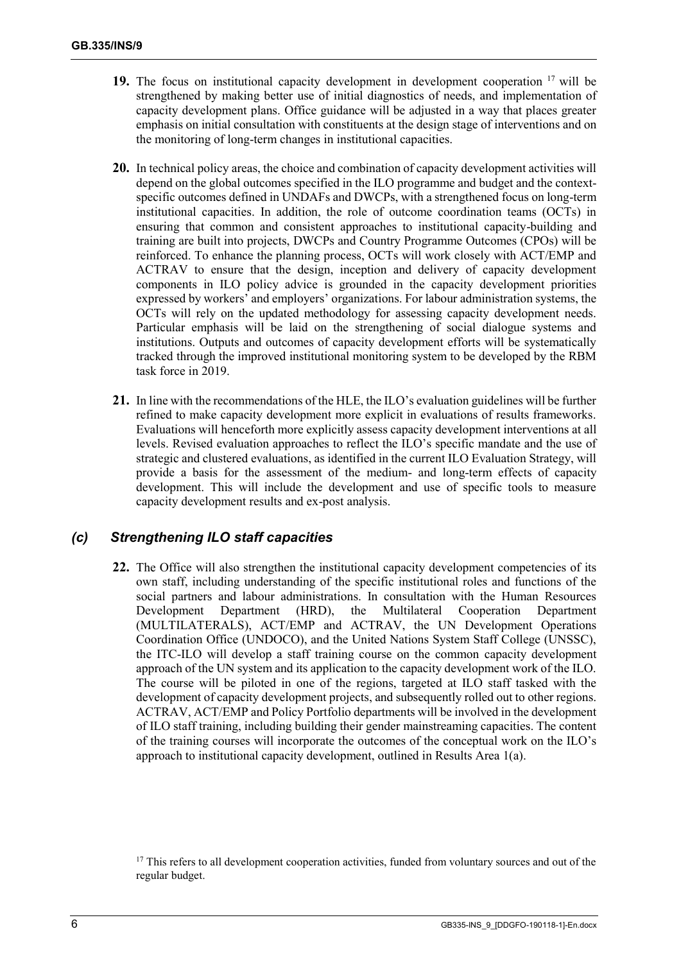- **19.** The focus on institutional capacity development in development cooperation <sup>17</sup> will be strengthened by making better use of initial diagnostics of needs, and implementation of capacity development plans. Office guidance will be adjusted in a way that places greater emphasis on initial consultation with constituents at the design stage of interventions and on the monitoring of long-term changes in institutional capacities.
- **20.** In technical policy areas, the choice and combination of capacity development activities will depend on the global outcomes specified in the ILO programme and budget and the contextspecific outcomes defined in UNDAFs and DWCPs, with a strengthened focus on long-term institutional capacities. In addition, the role of outcome coordination teams (OCTs) in ensuring that common and consistent approaches to institutional capacity-building and training are built into projects, DWCPs and Country Programme Outcomes (CPOs) will be reinforced. To enhance the planning process, OCTs will work closely with ACT/EMP and ACTRAV to ensure that the design, inception and delivery of capacity development components in ILO policy advice is grounded in the capacity development priorities expressed by workers' and employers' organizations. For labour administration systems, the OCTs will rely on the updated methodology for assessing capacity development needs. Particular emphasis will be laid on the strengthening of social dialogue systems and institutions. Outputs and outcomes of capacity development efforts will be systematically tracked through the improved institutional monitoring system to be developed by the RBM task force in 2019.
- **21.** In line with the recommendations of the HLE, the ILO's evaluation guidelines will be further refined to make capacity development more explicit in evaluations of results frameworks. Evaluations will henceforth more explicitly assess capacity development interventions at all levels. Revised evaluation approaches to reflect the ILO's specific mandate and the use of strategic and clustered evaluations, as identified in the current ILO Evaluation Strategy, will provide a basis for the assessment of the medium- and long-term effects of capacity development. This will include the development and use of specific tools to measure capacity development results and ex-post analysis.

### *(c) Strengthening ILO staff capacities*

**22.** The Office will also strengthen the institutional capacity development competencies of its own staff, including understanding of the specific institutional roles and functions of the social partners and labour administrations. In consultation with the Human Resources Development Department (HRD), the Multilateral Cooperation Department (MULTILATERALS), ACT/EMP and ACTRAV, the UN Development Operations Coordination Office (UNDOCO), and the United Nations System Staff College (UNSSC), the ITC-ILO will develop a staff training course on the common capacity development approach of the UN system and its application to the capacity development work of the ILO. The course will be piloted in one of the regions, targeted at ILO staff tasked with the development of capacity development projects, and subsequently rolled out to other regions. ACTRAV, ACT/EMP and Policy Portfolio departments will be involved in the development of ILO staff training, including building their gender mainstreaming capacities. The content of the training courses will incorporate the outcomes of the conceptual work on the ILO's approach to institutional capacity development, outlined in Results Area 1(a).

<sup>&</sup>lt;sup>17</sup> This refers to all development cooperation activities, funded from voluntary sources and out of the regular budget.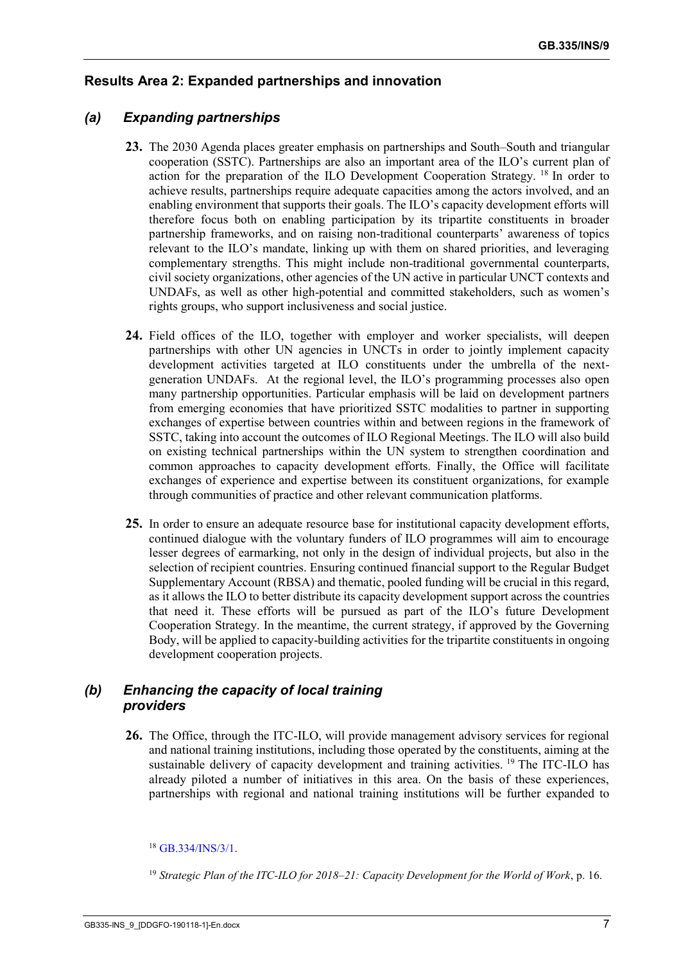# **Results Area 2: Expanded partnerships and innovation**

### *(a) Expanding partnerships*

- **23.** The 2030 Agenda places greater emphasis on partnerships and South–South and triangular cooperation (SSTC). Partnerships are also an important area of the ILO's current plan of action for the preparation of the ILO Development Cooperation Strategy. <sup>18</sup> In order to achieve results, partnerships require adequate capacities among the actors involved, and an enabling environment that supports their goals. The ILO's capacity development efforts will therefore focus both on enabling participation by its tripartite constituents in broader partnership frameworks, and on raising non-traditional counterparts' awareness of topics relevant to the ILO's mandate, linking up with them on shared priorities, and leveraging complementary strengths. This might include non-traditional governmental counterparts, civil society organizations, other agencies of the UN active in particular UNCT contexts and UNDAFs, as well as other high-potential and committed stakeholders, such as women's rights groups, who support inclusiveness and social justice.
- **24.** Field offices of the ILO, together with employer and worker specialists, will deepen partnerships with other UN agencies in UNCTs in order to jointly implement capacity development activities targeted at ILO constituents under the umbrella of the nextgeneration UNDAFs. At the regional level, the ILO's programming processes also open many partnership opportunities. Particular emphasis will be laid on development partners from emerging economies that have prioritized SSTC modalities to partner in supporting exchanges of expertise between countries within and between regions in the framework of SSTC, taking into account the outcomes of ILO Regional Meetings. The ILO will also build on existing technical partnerships within the UN system to strengthen coordination and common approaches to capacity development efforts. Finally, the Office will facilitate exchanges of experience and expertise between its constituent organizations, for example through communities of practice and other relevant communication platforms.
- **25.** In order to ensure an adequate resource base for institutional capacity development efforts, continued dialogue with the voluntary funders of ILO programmes will aim to encourage lesser degrees of earmarking, not only in the design of individual projects, but also in the selection of recipient countries. Ensuring continued financial support to the Regular Budget Supplementary Account (RBSA) and thematic, pooled funding will be crucial in this regard, as it allows the ILO to better distribute its capacity development support across the countries that need it. These efforts will be pursued as part of the ILO's future Development Cooperation Strategy. In the meantime, the current strategy, if approved by the Governing Body, will be applied to capacity-building activities for the tripartite constituents in ongoing development cooperation projects.

# *(b) Enhancing the capacity of local training providers*

**26.** The Office, through the ITC-ILO, will provide management advisory services for regional and national training institutions, including those operated by the constituents, aiming at the sustainable delivery of capacity development and training activities. <sup>19</sup> The ITC-ILO has already piloted a number of initiatives in this area. On the basis of these experiences, partnerships with regional and national training institutions will be further expanded to

<sup>19</sup> *Strategic Plan of the ITC-ILO for 2018–21: Capacity Development for the World of Work*, p. 16.

 $18$  GB. 334/INS/3/1.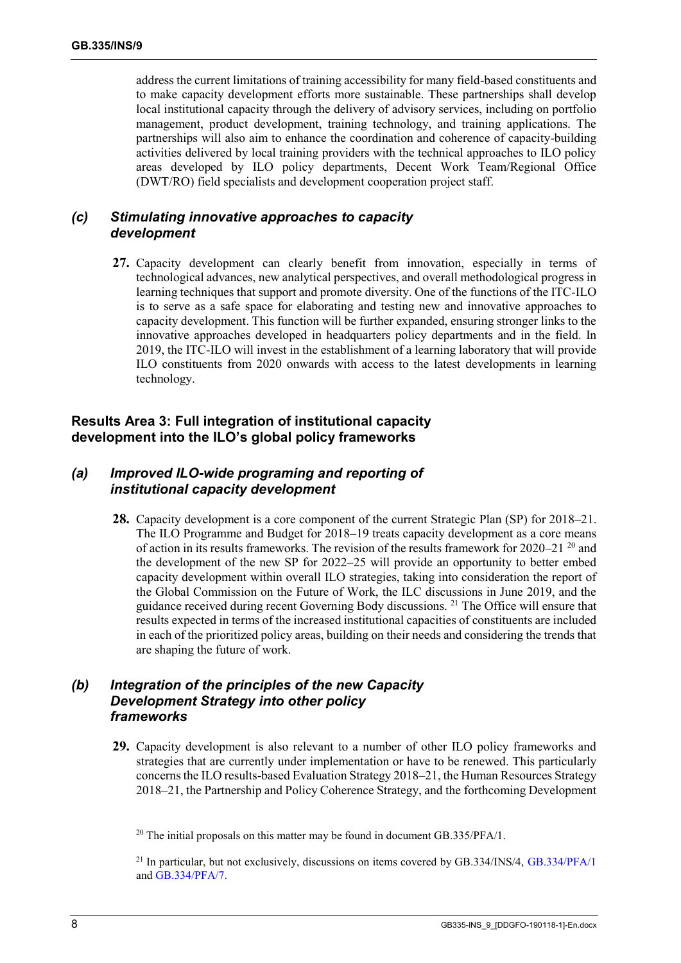address the current limitations of training accessibility for many field-based constituents and to make capacity development efforts more sustainable. These partnerships shall develop local institutional capacity through the delivery of advisory services, including on portfolio management, product development, training technology, and training applications. The partnerships will also aim to enhance the coordination and coherence of capacity-building activities delivered by local training providers with the technical approaches to ILO policy areas developed by ILO policy departments, Decent Work Team/Regional Office (DWT/RO) field specialists and development cooperation project staff.

#### *(c) Stimulating innovative approaches to capacity development*

**27.** Capacity development can clearly benefit from innovation, especially in terms of technological advances, new analytical perspectives, and overall methodological progress in learning techniques that support and promote diversity. One of the functions of the ITC-ILO is to serve as a safe space for elaborating and testing new and innovative approaches to capacity development. This function will be further expanded, ensuring stronger links to the innovative approaches developed in headquarters policy departments and in the field. In 2019, the ITC-ILO will invest in the establishment of a learning laboratory that will provide ILO constituents from 2020 onwards with access to the latest developments in learning technology.

#### **Results Area 3: Full integration of institutional capacity development into the ILO's global policy frameworks**

### *(a) Improved ILO-wide programing and reporting of institutional capacity development*

**28.** Capacity development is a core component of the current Strategic Plan (SP) for 2018–21. The ILO Programme and Budget for 2018–19 treats capacity development as a core means of action in its results frameworks. The revision of the results framework for 2020–21<sup>20</sup> and the development of the new SP for 2022–25 will provide an opportunity to better embed capacity development within overall ILO strategies, taking into consideration the report of the Global Commission on the Future of Work, the ILC discussions in June 2019, and the guidance received during recent Governing Body discussions. <sup>21</sup> The Office will ensure that results expected in terms of the increased institutional capacities of constituents are included in each of the prioritized policy areas, building on their needs and considering the trends that are shaping the future of work.

# *(b) Integration of the principles of the new Capacity Development Strategy into other policy frameworks*

**29.** Capacity development is also relevant to a number of other ILO policy frameworks and strategies that are currently under implementation or have to be renewed. This particularly concerns the ILO results-based Evaluation Strategy 2018–21, the Human Resources Strategy 2018–21, the Partnership and Policy Coherence Strategy, and the forthcoming Development

 $20$  The initial proposals on this matter may be found in document GB.335/PFA/1.

<sup>&</sup>lt;sup>21</sup> In particular, but not exclusively, discussions on items covered by GB.334/INS/4, [GB.334/PFA/1](https://www.ilo.org/wcmsp5/groups/public/---ed_norm/---relconf/documents/meetingdocument/wcms_646210.pdf) and [GB.334/PFA/7.](https://www.ilo.org/wcmsp5/groups/public/---ed_norm/---relconf/documents/meetingdocument/wcms_646315.pdf)